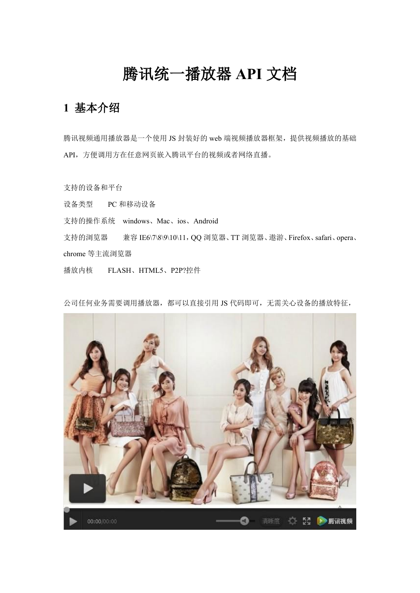# 腾讯统一播放器 **API** 文档

### **1** 基本介绍

腾讯视频通用播放器是一个使用 JS 封装好的 web 端视频播放器框架, 提供视频播放的基础 API,方便调用方在任意网页嵌入腾讯平台的视频或者网络直播。

支持的设备和平台

设备类型 PC 和移动设备

支持的操作系统 windows、Mac、ios、Android

支持的浏览器 兼容 IE6\7\8\9\10\11, QQ 浏览器、TT 浏览器、遨游、Firefox、safari、opera、 chrome 等主流浏览器

播放内核 FLASH、HTML5、P2P?控件

公司任何业务需要调用播放器,都可以直接引用 JS 代码即可,无需关心设备的播放特征,

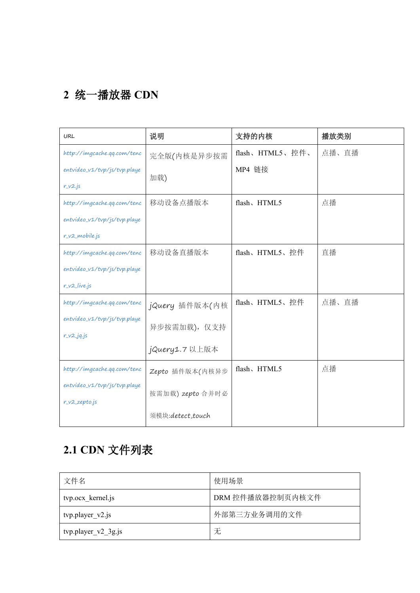## **2** 统一播放器 **CDN**

| URL                          | 说明               | 支持的内核           | 播放类别  |
|------------------------------|------------------|-----------------|-------|
| http://imgcache.gq.com/tenc  | 完全版(内核是异步按需      | flash、HTML5、控件、 | 点播、直播 |
| entvideo_v1/tvp/js/tvp.playe | 加载)              | MP4 链接          |       |
| $r_v2.js$                    |                  |                 |       |
| http://imgcache.gq.com/tenc  | 移动设备点播版本         | flash、HTML5     | 点播    |
| entvideo_v1/tvp/js/tvp.playe |                  |                 |       |
| r_v2_mobile.js               |                  |                 |       |
| http://imgcache.qq.com/tenc  | 移动设备直播版本         | flash、HTML5、控件  | 直播    |
| entvideo_v1/tvp/js/tvp.playe |                  |                 |       |
| $r_v2_i$ live.js             |                  |                 |       |
| http://imgcache.qq.com/tenc  | jQuery 插件版本(内核   | flash、HTML5、控件  | 点播、直播 |
| entvideo_v1/tvp/js/tvp.playe | 异步按需加载), 仅支持     |                 |       |
| $r_v2_jq_j$ is               |                  |                 |       |
|                              | jQuery1.7 以上版本   |                 |       |
| http://imgcache.gq.com/tenc  | Zepto 插件版本(内核异步  | flash、HTML5     | 点播    |
| entvideo_v1/tvp/js/tvp.playe | 按需加载) zepto 合并时必 |                 |       |
| r_v2_zepto.js                |                  |                 |       |
|                              | 须模块:detect,touch |                 |       |

# **2.1 CDN** 文件列表

| 文件名                     | 使用场景             |
|-------------------------|------------------|
| tvp.ocx_kernel.js       | DRM 控件播放器控制页内核文件 |
| $typ player_v2$ .js     | 外部第三方业务调用的文件     |
| $typ. player_v2_3g.$ js | 无                |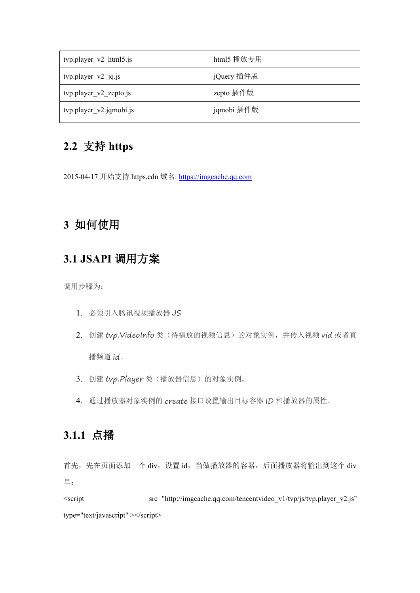| tvp.player_v2_html5.js  | html5 播放专用  |  |
|-------------------------|-------------|--|
| $typ player_v2_jq_js$   | 「jQuery 插件版 |  |
| typ.player_v2_zepto.js  | zepto 插件版   |  |
| tvp.player_v2.jqmobi.js | jqmobi 插件版  |  |

## **2.2** 支持 **https**

2015-04-17 开始支持 https,cdn 域名: https://imgcache.qq.com

### **3** 如何使用

#### **3.1 JSAPI** 调用方案

调用步骤为:

- 1. 必须引入腾讯视频播放器 JS
- 2. 创建 tvp. VideoInfo 类(待播放的视频信息)的对象实例,并传入视频 vid 或者直 播频道 id。
- 3. 创建 tvp.Player 类(播放器信息)的对象实例。
- 4. 通过播放器对象实例的 create 接口设置输出目标容器 ID 和播放器的属性。

#### **3.1.1** 点播

首先,先在页面添加一个 div, 设置 id, 当做播放器的容器,后面播放器将输出到这个 div 里: $\qquad \qquad$ 

<script src="http://imgcache.qq.com/tencentvideo\_v1/tvp/js/tvp.player\_v2.js" type="text/javascript" ></script>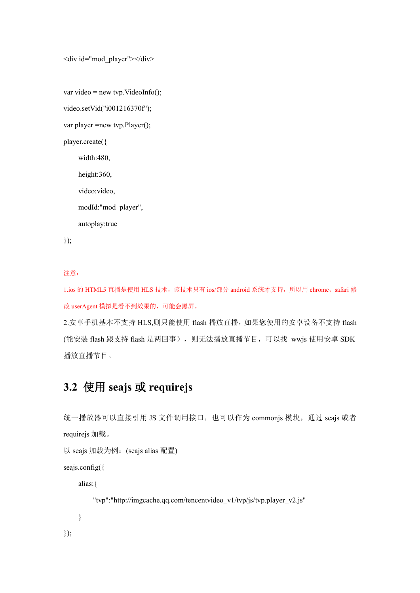<div id="mod\_player"></div>

```
var video = new tvp. VideoInfo();
```
video.setVid("i001216370f");

var player =new tvp.Player();

player.create({

width:480,

height:360,

video:video,

modId:"mod\_player",

autoplay:true

});

#### 注意:

1.ios 的 HTML5 直播是使用 HLS 技术,该技术只有 ios/部分 android 系统才支持, 所以用 chrome、safari 修 改 userAgent 模拟是看不到效果的,可能会黑屏。

2.安卓手机基本不支持 HLS,则只能使用 flash 播放直播, 如果您使用的安卓设备不支持 flash (能安装 flash 跟支持 flash 是两回事), 则无法播放直播节目, 可以找 wwjs 使用安卓 SDK 播放直播节目。

### **3.2** 使用 **seajs** 或 **requirejs**

统一播放器可以直接引用 JS 文件调用接口,也可以作为 commonjs 模块, 通过 seajs 或者 requirejs 加载。

```
以 seajs 加载为例:(seajs alias 配置)
```
seajs.config({

alias:{

"tvp":"http://imgcache.qq.com/tencentvideo\_v1/tvp/js/tvp.player\_v2.js"

}

});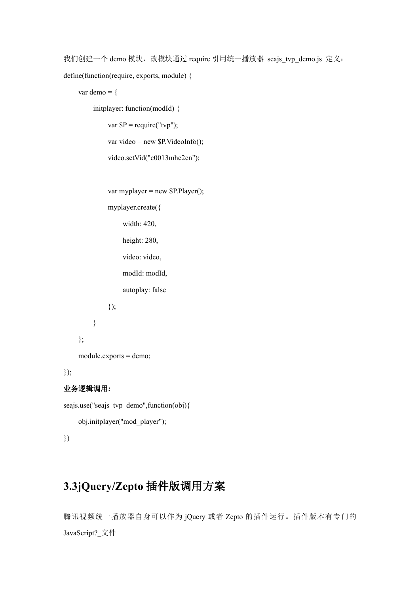我们创建一个 demo 模块, 改模块通过 require 引用统一播放器 seajs\_tvp\_demo.js 定义: define(function(require, exports, module) {

```
var demo = {
```
initplayer: function(modId) { var  $\$P = require("tvp");$ var video = new \$P.VideoInfo(); video.setVid("c0013mhe2en");

```
var myplayer = new P.Player();
```
myplayer.create({ width: 420, height: 280, video: video, modId: modId, autoplay: false });

```
}
```

```
};
```
module.exports = demo;

#### });

#### 业务逻辑调用**:**

```
seajs.use("seajs_tvp_demo",function(obj){
     obj.initplayer("mod_player");
})
```
### **3.3jQuery/Zepto** 插件版调用方案

腾讯视频统一播放器自身可以作为 jQuery 或者 Zepto 的插件运行。插件版本有专门的 JavaScript?\_文件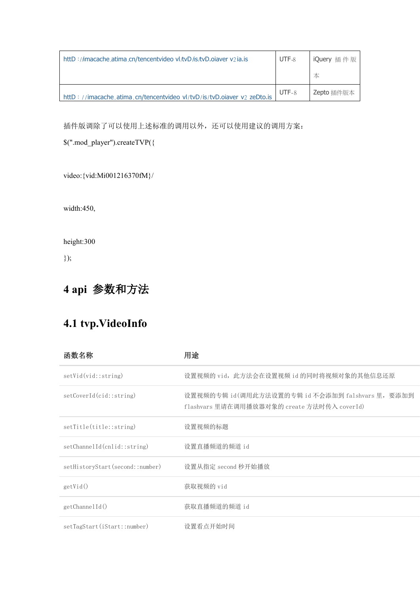| httD://imacache.atima.cn/tencentvideo vl/tvD/is/tvD.oiaver v2ia.is | UTF-8 | iQuery 插件版 |
|--------------------------------------------------------------------|-------|------------|
|                                                                    |       | 本          |
|                                                                    |       |            |

插件版调除了可以使用上述标准的调用以外,还可以使用建议的调用方案:

\$(".mod\_player").createTVP({

video:{vid:Mi001216370fM}/

width:450,

height:300

});

## **4 api** 参数和方法

## **4.1 tvp.VideoInfo**

| 函数名称                            | 用途                                                                                              |
|---------------------------------|-------------------------------------------------------------------------------------------------|
| setVid(vid::string)             | 设置视频的 vid, 此方法会在设置视频 id 的同时将视频对象的其他信息还原                                                         |
| setCoverId(cid::string)         | 设置视频的专辑 id(调用此方法设置的专辑 id 不会添加到 falshvars 里, 要添加到<br>flashvars 里请在调用播放器对象的 create 方法时传入 coverId) |
| setTitle(title::string)         | 设置视频的标题                                                                                         |
| setChannelId(cnlid::string)     | 设置直播频道的频道 id                                                                                    |
| setHistoryStart(second::number) | 设置从指定 second 秒开始播放                                                                              |
| getVid()                        | 获取视频的 vid                                                                                       |
| getChannelId()                  | 获取直播频道的频道 id                                                                                    |
| setTagStart(iStart::number)     | 设置看点开始时间                                                                                        |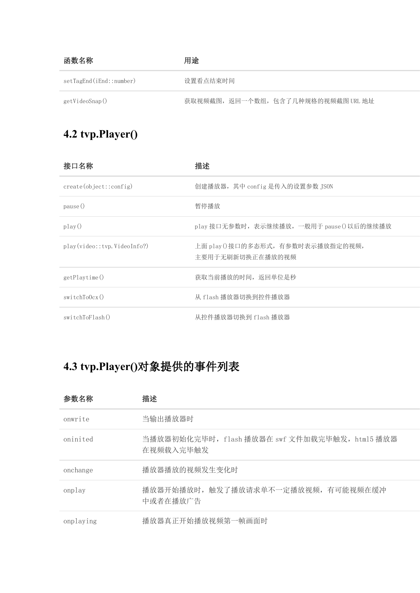| 函数名称                    | 用途                                  |
|-------------------------|-------------------------------------|
| setTagEnd(iEnd::number) | 设置看点结束时间                            |
| getVideoSnap()          | 获取视频截图, 返回一个数组, 包含了几种规格的视频截图 URL 地址 |

# **4.2 tvp.Player()**

| 接口名称                        | 描述                                                     |
|-----------------------------|--------------------------------------------------------|
| create (object::config)     | 创建播放器, 其中 config 是传入的设置参数 JSON                         |
| pause()                     | 暂停播放                                                   |
| play()                      | play 接口无参数时, 表示继续播放, 一般用于 pause () 以后的继续播放             |
| play(video::tvp.VideoInfo?) | 上面 play () 接口的多态形式, 有参数时表示播放指定的视频,<br>主要用于无刷新切换正在播放的视频 |
| getPlaytime()               | 获取当前播放的时间, 返回单位是秒                                      |
| switchTo0cx()               | 从 flash 播放器切换到控件播放器                                    |
| switchToFlash()             | 从控件播放器切换到 flash 播放器                                    |

# **4.3 tvp.Player()**对象提供的事件列表

| 参数名称      | 描述                                                          |
|-----------|-------------------------------------------------------------|
| onwrite   | 当输出播放器时                                                     |
| oninited  | 当播放器初始化完毕时, flash 播放器在 swf 文件加载完毕触发, html5 播放器<br>在视频载入完毕触发 |
| onchange  | 播放器播放的视频发生变化时                                               |
| onplay    | 播放器开始播放时, 触发了播放请求单不一定播放视频, 有可能视频在缓冲<br>中或者在播放广告             |
| onplaying | 播放器真正开始播放视频第一帧画面时                                           |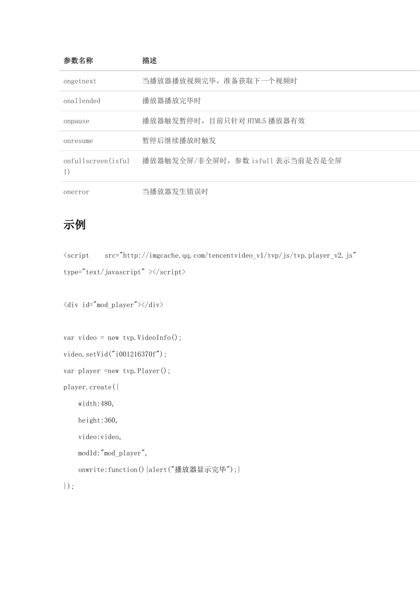| 参数名称               | 描述                               |
|--------------------|----------------------------------|
| ongetnext          | 当播放器播放视频完毕, 准备获取下一个视频时           |
| onallended         | 播放器播放完毕时                         |
| onpause            | 播放器触发暂停时, 目前只针对 HTML5 播放器有效      |
| onresume           | 暂停后继续播放时触发                       |
| onfullscreen(isful | 播放器触发全屏/非全屏时,参数 isfull 表示当前是否是全屏 |
| onerror            | 当播放器发生错误时                        |

#### 示例 しょうしょう しゅうしょう しょうしょく

<script src="http://imgcache.qq.com/tencentvideo\_v1/tvp/js/tvp.player\_v2.js" type="text/javascript"  $\times$ /script>

 $\langle$ div id="mod player"> $\times$ /div>

var video = new tvp.VideoInfo();

```
video.setVid("i001216370f");
```

```
var player =new tvp. Player();
```
player.create({

width:480,

```
height:360,
```
video:video,

modId:"mod\_player",

```
onwrite:function() {alert("播放器显示完毕");}
```

```
});
```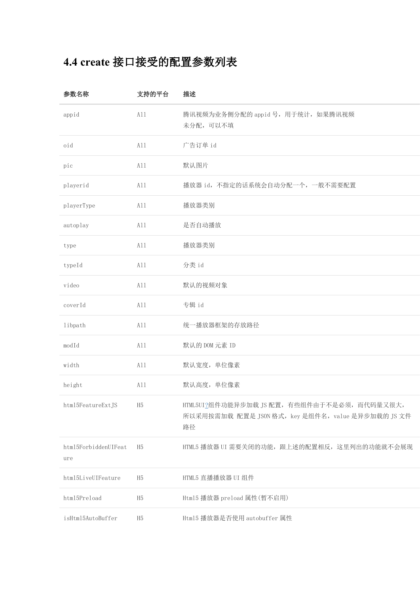# **4.4 create** 接口接受的配置参数列表

| 参数名称                        | 支持的平台          | 描述                                                                                                       |
|-----------------------------|----------------|----------------------------------------------------------------------------------------------------------|
| appid                       | A11            | 腾讯视频为业务侧分配的 appid 号, 用于统计, 如果腾讯视频<br>未分配,可以不填                                                            |
| oid                         | A11            | 广告订单 id                                                                                                  |
| pic                         | A11            | 默认图片                                                                                                     |
| playerid                    | All            | 播放器 id, 不指定的话系统会自动分配一个, 一般不需要配置                                                                          |
| playerType                  | A11            | 播放器类别                                                                                                    |
| autoplay                    | A11            | 是否自动播放                                                                                                   |
| type                        | A11            | 播放器类别                                                                                                    |
| typeId                      | A11            | 分类 id                                                                                                    |
| video                       | A11            | 默认的视频对象                                                                                                  |
| coverId                     | A11            | 专辑 id                                                                                                    |
| libpath                     | A11            | 统一播放器框架的存放路径                                                                                             |
| modId                       | A11            | 默认的 DOM 元素 ID                                                                                            |
| width                       | A11            | 默认宽度, 单位像素                                                                                               |
| height                      | A11            | 默认高度, 单位像素                                                                                               |
| html5FeatureExtJS           | H5             | HTML5UI?组件功能异步加载 JS 配置, 有些组件由于不是必须, 而代码量又很大,<br>所以采用按需加载 配置是 JSON 格式, key 是组件名, value 是异步加载的 JS 文件<br>路径 |
| html5ForbiddenUIFeat<br>ure | H <sub>5</sub> | HTML5 播放器 UI 需要关闭的功能, 跟上述的配置相反, 这里列出的功能就不会展现                                                             |
| html5LiveUIFeature          | H <sub>5</sub> | HTML5 直播播放器 UI 组件                                                                                        |
| html5Preload                | H <sub>5</sub> | Html5 播放器 preload 属性(暂不启用)                                                                               |
| isHtml5AutoBuffer           | H5             | Html5 播放器是否使用 autobuffer 属性                                                                              |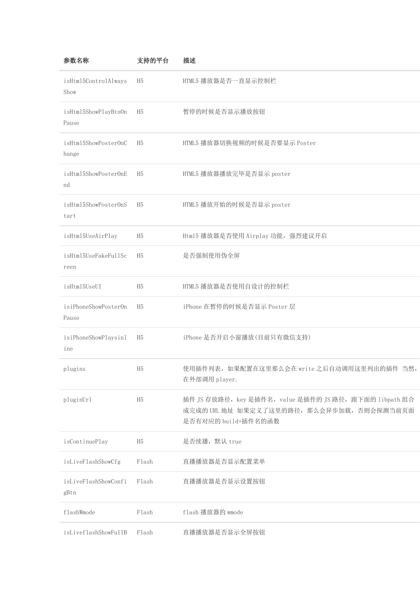| 参数名称                          | 支持的平台          | 描述                                                                                                                           |
|-------------------------------|----------------|------------------------------------------------------------------------------------------------------------------------------|
| isHtml5ControlAlways<br>Show  | H5             | HTML5 播放器是否一直显示控制栏                                                                                                           |
| isHtml5ShowPlayBtnOn<br>Pause | H5             | 暂停的时候是否显示播放按钮                                                                                                                |
| isHtml5ShowPosterOnC<br>hange | H <sub>5</sub> | HTML5 播放器切换视频的时候是否要显示 Poster                                                                                                 |
| isHtml5ShowPosterOnE<br>nd    | H <sub>5</sub> | HTML5 播放器播放完毕是否显示 poster                                                                                                     |
| isHtml5ShowPosterOnS<br>tart  | H <sub>5</sub> | HTML5 播放开始的时候是否显示 poster                                                                                                     |
| isHtml5UseAirPlay             | H <sub>5</sub> | Html5 播放器是否使用 Airplay 功能, 强烈建议开启                                                                                             |
| isHtml5UseFakeFullSc<br>reen  | H5             | 是否强制使用伪全屏                                                                                                                    |
| isHtml5UseUI                  | H <sub>5</sub> | HTML5 播放器是否使用自设计的控制栏                                                                                                         |
| isiPhoneShowPosterOn<br>Pause | H5             | iPhone 在暂停的时候是否显示 Poster 层                                                                                                   |
| isiPhoneShowPlaysinl<br>ine   | H <sub>5</sub> | iPhone 是否开启小窗播放(目前只有微信支持)                                                                                                    |
| plugins                       | H <sub>5</sub> | 使用插件列表, 如果配置在这里那么会在 write 之后自动调用这里列出的插件 当然,<br>在外部调用 player.                                                                 |
| pluginUrl                     | H5             | 插件 JS 存放路径, key 是插件名, value 是插件的 JS 路径, 跟下面的 libpath 组合<br>成完成的 URL 地址 如果定义了这里的路径, 那么会异步加载, 否则会探测当前页面<br>是否有对应的 build+插件名的函数 |
| isContinuePlay                | H5             | 是否续播, 默认 true                                                                                                                |
| isLiveFlashShowCfg            | Flash          | 直播播放器是否显示配置菜单                                                                                                                |
| isLiveFlashShowConfi<br>gBtn  | Flash          | 直播播放器是否显示设置按钮                                                                                                                |
| flashWmode                    | Flash          | flash 播放器的 wmode                                                                                                             |
| isLiveflashShowFullB          | Flash          | 直播播放器是否显示全屏按钮                                                                                                                |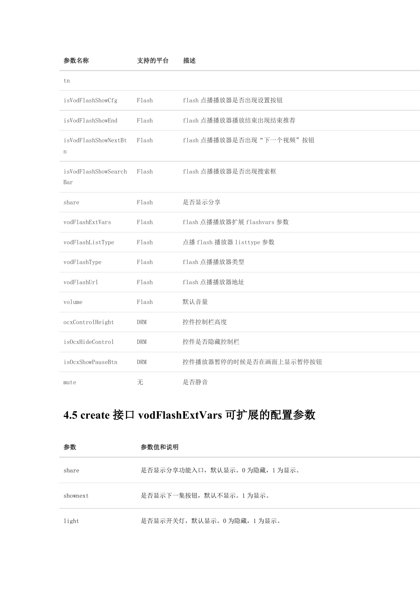| 参数名称                                | 支持的平台      | 描述                         |
|-------------------------------------|------------|----------------------------|
| tn                                  |            |                            |
| isVodFlashShowCfg                   | Flash      | flash 点播播放器是否出现设置按钮        |
| isVodFlashShowEnd                   | Flash      | flash 点播播放器播放结束出现结束推荐      |
| isVodFlashShowNextBt<br>$\mathbf n$ | Flash      | flash 点播播放器是否出现"下一个视频"按钮   |
| isVodFlashShowSearch<br>Bar         | Flash      | flash 点播播放器是否出现搜索框         |
| share                               | Flash      | 是否显示分享                     |
| vodFlashExtVars                     | Flash      | flash 点播播放器扩展 flashvars 参数 |
| vodFlashListType                    | Flash      | 点播 flash 播放器 listtype 参数   |
| vodFlashType                        | Flash      | flash 点播播放器类型              |
| vodFlashUrl                         | Flash      | flash 点播播放器地址              |
| volume                              | Flash      | 默认音量                       |
| ocxControlHeight                    | <b>DRM</b> | 控件控制栏高度                    |
| is0cxHideControl                    | <b>DRM</b> | 控件是否隐藏控制栏                  |
| is0cxShowPauseBtn                   | <b>DRM</b> | 控件播放器暂停的时候是否在画面上显示暂停按钮     |
| mute                                | 无          | 是否静音                       |

# **4.5 create** 接口 **vodFlashExtVars** 可扩展的配置参数

| 参数       | 参数值和说明                       |
|----------|------------------------------|
| share    | 是否显示分享功能入口, 默认显示。0为隐藏, 1为显示。 |
| shownext | 是否显示下一集按钮,默认不显示。1 为显示。       |
| light    | 是否显示开关灯, 默认显示。0为隐藏, 1为显示。    |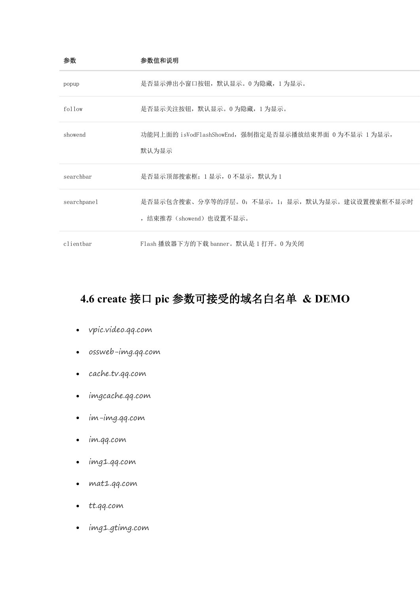| 参数          | 参数值和说明                                                                     |
|-------------|----------------------------------------------------------------------------|
| popup       | 是否显示弹出小窗口按钮,默认显示。0 为隐藏,1 为显示。                                              |
| follow      | 是否显示关注按钮, 默认显示。0为隐藏, 1为显示。                                                 |
| showend     | 功能同上面的 isVodFlashShowEnd, 强制指定是否显示播放结束界面 0 为不显示 1 为显示,<br>默认为显示            |
| searchbar   | 是否显示顶部搜索框; 1显示, 0不显示, 默认为1                                                 |
| searchpanel | 是否显示包含搜索、分享等的浮层。0: 不显示, 1: 显示, 默认为显示。建议设置搜索框不显示时<br>, 结束推荐(showend)也设置不显示。 |
| clientbar   | Flash 播放器下方的下载 banner。默认是1打开。0为关闭                                          |

## **4.6 create** 接口 **pic** 参数可接受的域名白名单 **& DEMO**

- vpic.video.qq.com
- ossweb-img.qq.com
- cache.tv.qq.com
- imgcache.qq.com
- im-img.qq.com
- im.qq.com
- img1.qq.com
- mat1.qq.com
- tt.qq.com
- img1.gtimg.com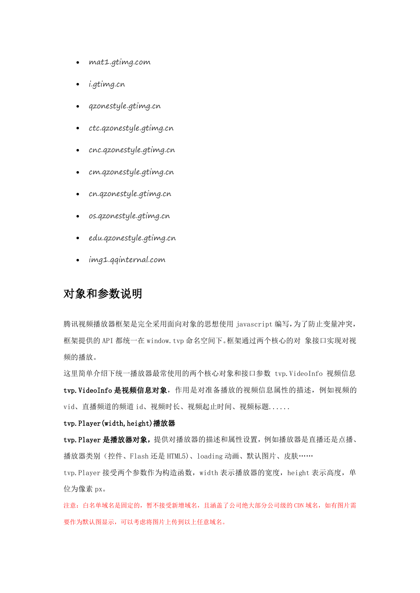- mat1.gtimg.com
- i.gtimg.cn
- qzonestyle.gtimg.cn
- ctc.qzonestyle.gtimg.cn
- cnc.qzonestyle.gtimg.cn
- cm.qzonestyle.gtimg.cn
- cn.qzonestyle.gtimg.cn
- os.qzonestyle.gtimg.cn
- edu.qzonestyle.gtimg.cn
- img1.qqinternal.com

#### 对象和参数说明

腾讯视频播放器框架是完全采用面向对象的思想使用 javascript 编写,为了防止变量冲突, 框架提供的 API 都统一在 window.tvp 命名空间下。框架通过两个核心的对 象接口实现对视 频的播放。

这里简单介绍下统一播放器最常使用的两个核心对象和接口参数 tvp.VideoInfo 视频信息 tvp. VideoInfo 是视频信息对象, 作用是对准备播放的视频信息属性的描述, 例如视频的 vid、直播频道的频道 id、视频时长、视频起止时间、视频标题......

#### tvp. Player (width, height)播放器

tvp. Player 是播放器对象,提供对播放器的描述和属性设置,例如播放器是直播还是点播、 播放器类别(控件、Flash 还是 HTML5)、loading 动画、默认图片、皮肤……

tvp. Player 接受两个参数作为构造函数, width 表示播放器的宽度, height 表示高度, 单 位为像素 px。

注意: 白名单域名是固定的, 暂不接受新增域名, 且涵盖了公司绝大部分公司级的 CDN 域名, 如有图片需 要作为默认图显示,可以考虑将图片上传到以上任意域名。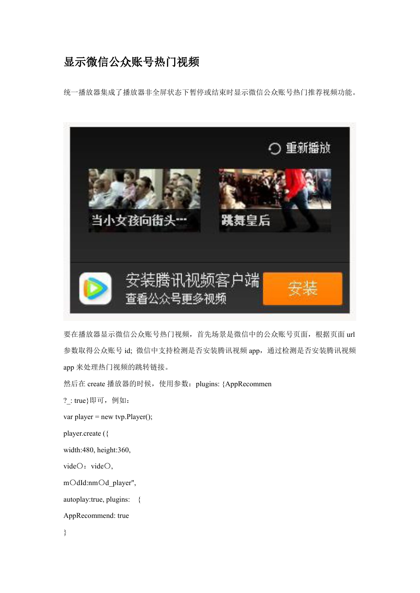#### 显示微信公众账号热门视频

统一播放器集成了播放器非全屏状态下暂停或结束时显示微信公众账号热门推荐视频功能。



要在播放器显示微信公众账号热门视频,首先场景是微信中的公众账号页面,根据页面 url 参数取得公众账号 id; 微信中支持检测是否安装腾讯视频 app, 通过检测是否安装腾讯视频 app 来处理热门视频的跳转链接。

然后在 create 播放器的时候, 使用参数: plugi[n](http://tapd.oa.com/v3/tvideo/wikis/edit/AppRecommend)s: {AppRecommen

?\_: true}即可,例如:

```
var player = new tvp.Player();
```
player.create ({

width:480, height:360,

vide $O:$  vide $O,$ 

mOdId:nmOd\_player",

autoplay:true, plugins: {

AppRecommend: true

}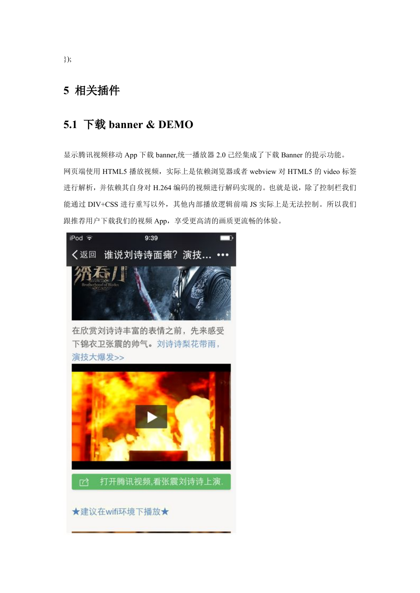#### **5** 相关插件

#### **5.1** 下载 **banner & DEMO**

显示腾讯视频移动 App 下载 banner,统一播放器 2.0 己经集成了下载 Banner 的提示功能。 网页端使用 HTML5 播放视频,实际上是依赖浏览器或者 webview 对 HTML5 的 video 标签 进行解析,并依赖其自身对 H.264 编码的视频进行解码实现的。也就是说,除了控制栏我们 能通过 DIV+CSS 进行重写以外, 其他内部播放逻辑前端 JS 实际上是无法控制。所以我们 跟推荐用户下载我们的视频 App, 享受更高清的画质更流畅的体验。



在欣赏刘诗诗丰富的表情之前, 先来感受 下锦衣卫张震的帅气。刘诗诗梨花带雨, 演技大爆发>>



打开腾讯视频,看张震刘诗诗上演. ٢λ

★建议在wifi环境下播放★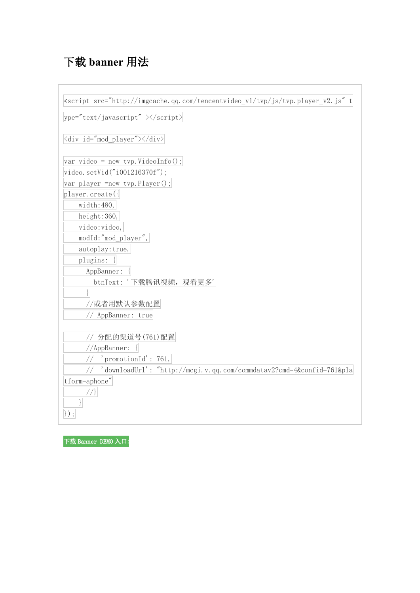# 下载 **banner** 用法

| <script src="http://imgcache.qq.com/tencentvideo_v1/tvp/js/tvp.player_v2.js" t<="" th=""></script> |
|----------------------------------------------------------------------------------------------------|
|----------------------------------------------------------------------------------------------------|

下载 Banner DEMO 入口**:**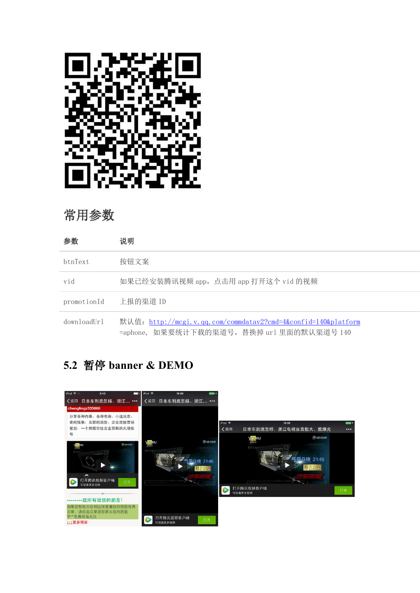

## 常用参数

| 参数          | 说明                                                                                                           |
|-------------|--------------------------------------------------------------------------------------------------------------|
| btnText     | 按钮文案                                                                                                         |
| vid         | 如果已经安装腾讯视频 app, 点击用 app 打开这个 vid 的视频                                                                         |
| promotionId | 上报的渠道 ID                                                                                                     |
| downloadUrl | 默认值: http://mcgi.v.qq.com/commdatav2?cmd=4&confid=140&platform<br>=aphone, 如果要统计下载的渠道号, 替换掉 url 里面的默认渠道号 140 |

## **5.2** 暂停 **banner & DEMO**

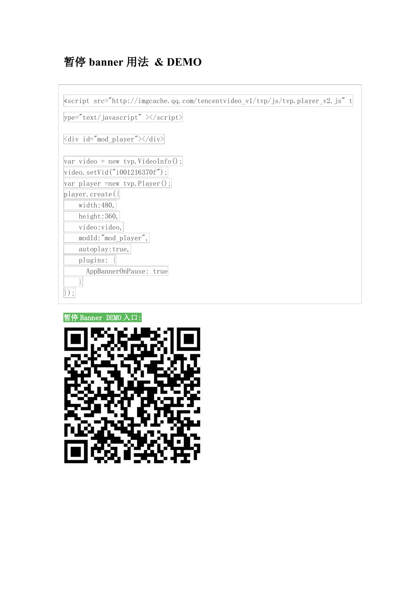# 暂停 **banner** 用法 **& DEMO**

| $ $ ype="text/javascript" $\times$ /script $\times$       |
|-----------------------------------------------------------|
| $\langle$ div id="mod_player"> $\langle$ /div> $ $        |
| $\forall x \text{ video} = \text{new type. VideoInfo();}$ |
| video.setVid("i001216370f");                              |
| var player = new tvp. Player();                           |
| player. $create({ }$                                      |
| width: 480,                                               |
| height:360,                                               |
| video:video,                                              |
| modId:"mod_player",                                       |
| autoplay: true,                                           |
| plugins:                                                  |
| AppBannerOnPause: true                                    |
|                                                           |
|                                                           |



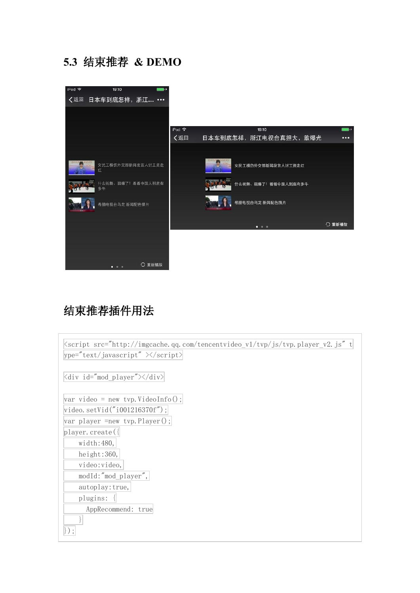## **5.3** 结束推荐 **& DEMO**



## 结束推荐插件用法

| <script_src="http: imgcache.qq.com="" js="" tencentvideo_v1="" th="" tvp="" tvp.player_v2.js"_t <=""><th></th></script_src="http:> |  |  |
|------------------------------------------------------------------------------------------------------------------------------------|--|--|
| $ $ ype="text/javascript" $\times$ /script $ $                                                                                     |  |  |
| <div id="mod_player"></div>                                                                                                        |  |  |
| $\text{var video} = \text{new type. VideoInfo();}$                                                                                 |  |  |
| video.setVid("i001216370f");                                                                                                       |  |  |
| var player = new tvp. Player ();                                                                                                   |  |  |
| player. create({                                                                                                                   |  |  |
| width: 480,                                                                                                                        |  |  |
| height:360,                                                                                                                        |  |  |
| video:video,                                                                                                                       |  |  |
| modId:"mod_player",                                                                                                                |  |  |
| autoplay: true,                                                                                                                    |  |  |
| plugins:                                                                                                                           |  |  |
| AppRecommend: true                                                                                                                 |  |  |
|                                                                                                                                    |  |  |